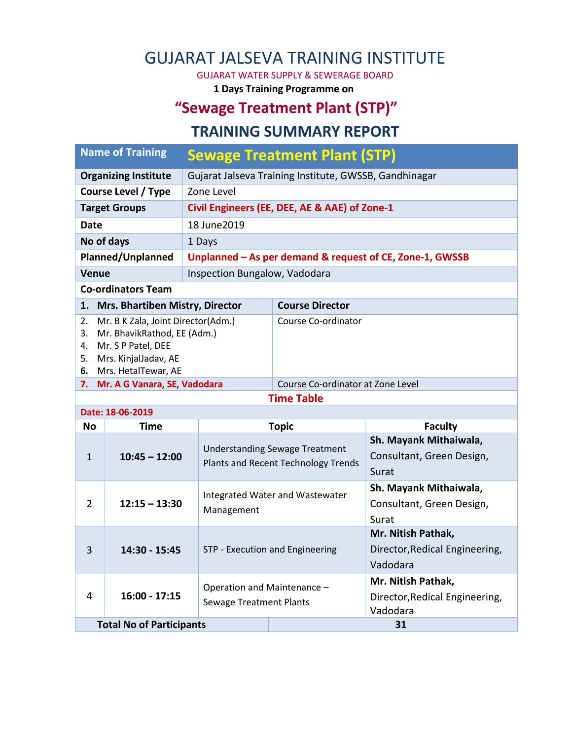# GUJARAT JALSEVA TRAINING INSTITUTE

GUJARAT WATER SUPPLY & SEWERAGE BOARD

**1 Days Training Programme on**

## **"Sewage Treatment Plant (STP)"**

#### **TRAINING SUMMARY REPORT**

| <b>Name of Training</b>            |                                                                                                                                        | <b>Sewage Treatment Plant (STP)</b>                           |                                       |                                                                        |  |  |  |  |  |
|------------------------------------|----------------------------------------------------------------------------------------------------------------------------------------|---------------------------------------------------------------|---------------------------------------|------------------------------------------------------------------------|--|--|--|--|--|
| <b>Organizing Institute</b>        |                                                                                                                                        | Gujarat Jalseva Training Institute, GWSSB, Gandhinagar        |                                       |                                                                        |  |  |  |  |  |
| <b>Course Level / Type</b>         |                                                                                                                                        | Zone Level                                                    |                                       |                                                                        |  |  |  |  |  |
| <b>Target Groups</b>               |                                                                                                                                        | Civil Engineers (EE, DEE, AE & AAE) of Zone-1                 |                                       |                                                                        |  |  |  |  |  |
| <b>Date</b>                        |                                                                                                                                        | 18 June 2019                                                  |                                       |                                                                        |  |  |  |  |  |
| No of days                         |                                                                                                                                        | 1 Days                                                        |                                       |                                                                        |  |  |  |  |  |
| Planned/Unplanned                  |                                                                                                                                        | Unplanned - As per demand & request of CE, Zone-1, GWSSB      |                                       |                                                                        |  |  |  |  |  |
| <b>Venue</b>                       |                                                                                                                                        | Inspection Bungalow, Vadodara                                 |                                       |                                                                        |  |  |  |  |  |
|                                    | <b>Co-ordinators Team</b>                                                                                                              |                                                               |                                       |                                                                        |  |  |  |  |  |
| 1.                                 | Mrs. Bhartiben Mistry, Director                                                                                                        |                                                               | <b>Course Director</b>                |                                                                        |  |  |  |  |  |
| 2.<br>3.<br>4.<br>5.<br>6.         | Mr. B K Zala, Joint Director(Adm.)<br>Mr. BhavikRathod, EE (Adm.)<br>Mr. S P Patel, DEE<br>Mrs. KinjalJadav, AE<br>Mrs. HetalTewar, AE |                                                               | Course Co-ordinator                   |                                                                        |  |  |  |  |  |
| Mr. A G Vanara, SE, Vadodara<br>7. |                                                                                                                                        |                                                               | Course Co-ordinator at Zone Level     |                                                                        |  |  |  |  |  |
| <b>Time Table</b>                  |                                                                                                                                        |                                                               |                                       |                                                                        |  |  |  |  |  |
| Date: 18-06-2019                   |                                                                                                                                        |                                                               |                                       |                                                                        |  |  |  |  |  |
| <b>No</b>                          | Time                                                                                                                                   |                                                               | <b>Topic</b>                          | <b>Faculty</b><br>Sh. Mayank Mithaiwala,                               |  |  |  |  |  |
| $\mathbf{1}$                       | $10:45 - 12:00$<br><b>Plants and Recent Technology Trends</b>                                                                          |                                                               | <b>Understanding Sewage Treatment</b> | Consultant, Green Design,                                              |  |  |  |  |  |
|                                    |                                                                                                                                        |                                                               |                                       | Surat                                                                  |  |  |  |  |  |
| $\overline{2}$                     | $12:15 - 13:30$                                                                                                                        | Management                                                    | Integrated Water and Wastewater       | Sh. Mayank Mithaiwala,<br>Consultant, Green Design,<br>Surat           |  |  |  |  |  |
| 3                                  | 14:30 - 15:45                                                                                                                          | STP - Execution and Engineering                               |                                       | Mr. Nitish Pathak,<br>Director, Redical Engineering,<br>Vadodara       |  |  |  |  |  |
| 4                                  | $16:00 - 17:15$<br><b>Total No of Participants</b>                                                                                     | Operation and Maintenance -<br><b>Sewage Treatment Plants</b> |                                       | Mr. Nitish Pathak,<br>Director, Redical Engineering,<br>Vadodara<br>31 |  |  |  |  |  |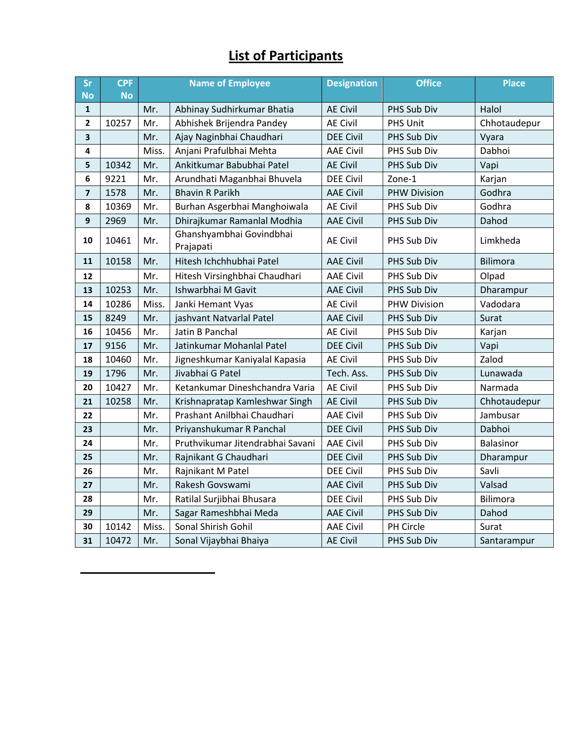### **List of Participants**

| Sr                      | <b>CPF</b> | <b>Name of Employee</b> |                                       | <b>Designation</b> | <b>Office</b>       | <b>Place</b>    |
|-------------------------|------------|-------------------------|---------------------------------------|--------------------|---------------------|-----------------|
| <b>No</b>               | <b>No</b>  |                         |                                       |                    |                     |                 |
| $\mathbf{1}$            |            | Mr.                     | Abhinay Sudhirkumar Bhatia            | <b>AE Civil</b>    | PHS Sub Div         | Halol           |
| $\overline{2}$          | 10257      | Mr.                     | Abhishek Brijendra Pandey             | <b>AE Civil</b>    | PHS Unit            | Chhotaudepur    |
| $\overline{\mathbf{3}}$ |            | Mr.                     | Ajay Naginbhai Chaudhari              | <b>DEE Civil</b>   | PHS Sub Div         | Vyara           |
| $\pmb{4}$               |            | Miss.                   | Anjani Prafulbhai Mehta               | <b>AAE Civil</b>   | PHS Sub Div         | Dabhoi          |
| 5                       | 10342      | Mr.                     | Ankitkumar Babubhai Patel             | <b>AE Civil</b>    | PHS Sub Div         | Vapi            |
| 6                       | 9221       | Mr.                     | Arundhati Maganbhai Bhuvela           | <b>DEE Civil</b>   | Zone-1              | Karjan          |
| $\overline{\mathbf{z}}$ | 1578       | Mr.                     | <b>Bhavin R Parikh</b>                | <b>AAE Civil</b>   | <b>PHW Division</b> | Godhra          |
| 8                       | 10369      | Mr.                     | Burhan Asgerbhai Manghoiwala          | <b>AE Civil</b>    | PHS Sub Div         | Godhra          |
| $\boldsymbol{9}$        | 2969       | Mr.                     | Dhirajkumar Ramanlal Modhia           | <b>AAE Civil</b>   | PHS Sub Div         | Dahod           |
| 10                      | 10461      | Mr.                     | Ghanshyambhai Govindbhai<br>Prajapati | <b>AE Civil</b>    | PHS Sub Div         | Limkheda        |
| 11                      | 10158      | Mr.                     | Hitesh Ichchhubhai Patel              | <b>AAE Civil</b>   | PHS Sub Div         | <b>Bilimora</b> |
| 12                      |            | Mr.                     | Hitesh Virsinghbhai Chaudhari         | <b>AAE Civil</b>   | PHS Sub Div         | Olpad           |
| 13                      | 10253      | Mr.                     | Ishwarbhai M Gavit                    | <b>AAE Civil</b>   | PHS Sub Div         | Dharampur       |
| 14                      | 10286      | Miss.                   | Janki Hemant Vyas                     | <b>AE Civil</b>    | <b>PHW Division</b> | Vadodara        |
| 15                      | 8249       | Mr.                     | jashvant Natvarlal Patel              | <b>AAE Civil</b>   | PHS Sub Div         | Surat           |
| 16                      | 10456      | Mr.                     | Jatin B Panchal                       | <b>AE Civil</b>    | PHS Sub Div         | Karjan          |
| 17                      | 9156       | Mr.                     | Jatinkumar Mohanlal Patel             | <b>DEE Civil</b>   | PHS Sub Div         | Vapi            |
| 18                      | 10460      | Mr.                     | Jigneshkumar Kaniyalal Kapasia        | <b>AE Civil</b>    | PHS Sub Div         | Zalod           |
| 19                      | 1796       | Mr.                     | Jivabhai G Patel                      | Tech. Ass.         | PHS Sub Div         | Lunawada        |
| 20                      | 10427      | Mr.                     | Ketankumar Dineshchandra Varia        | <b>AE Civil</b>    | PHS Sub Div         | Narmada         |
| 21                      | 10258      | Mr.                     | Krishnapratap Kamleshwar Singh        | <b>AE Civil</b>    | PHS Sub Div         | Chhotaudepur    |
| 22                      |            | Mr.                     | Prashant Anilbhai Chaudhari           | <b>AAE Civil</b>   | PHS Sub Div         | Jambusar        |
| 23                      |            | Mr.                     | Priyanshukumar R Panchal              | <b>DEE Civil</b>   | PHS Sub Div         | Dabhoi          |
| 24                      |            | Mr.                     | Pruthvikumar Jitendrabhai Savani      | <b>AAE Civil</b>   | PHS Sub Div         | Balasinor       |
| 25                      |            | Mr.                     | Rajnikant G Chaudhari                 | <b>DEE Civil</b>   | PHS Sub Div         | Dharampur       |
| 26                      |            | Mr.                     | Rajnikant M Patel                     | <b>DEE Civil</b>   | PHS Sub Div         | Savli           |
| 27                      |            | Mr.                     | Rakesh Govswami                       | <b>AAE Civil</b>   | PHS Sub Div         | Valsad          |
| 28                      |            | Mr.                     | Ratilal Surjibhai Bhusara             | <b>DEE Civil</b>   | PHS Sub Div         | Bilimora        |
| 29                      |            | Mr.                     | Sagar Rameshbhai Meda                 | <b>AAE Civil</b>   | PHS Sub Div         | Dahod           |
| 30                      | 10142      | Miss.                   | Sonal Shirish Gohil                   | <b>AAE Civil</b>   | PH Circle           | Surat           |
| 31                      | 10472      | Mr.                     | Sonal Vijaybhai Bhaiya                | <b>AE Civil</b>    | PHS Sub Div         | Santarampur     |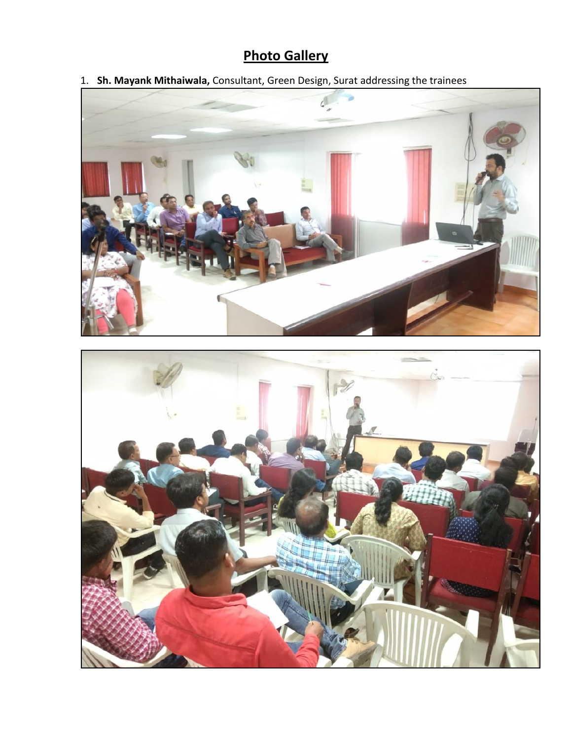# **Photo Gallery**

1. **Sh. Mayank Mithaiwala,** Consultant, Green Design, Surat addressing the trainees



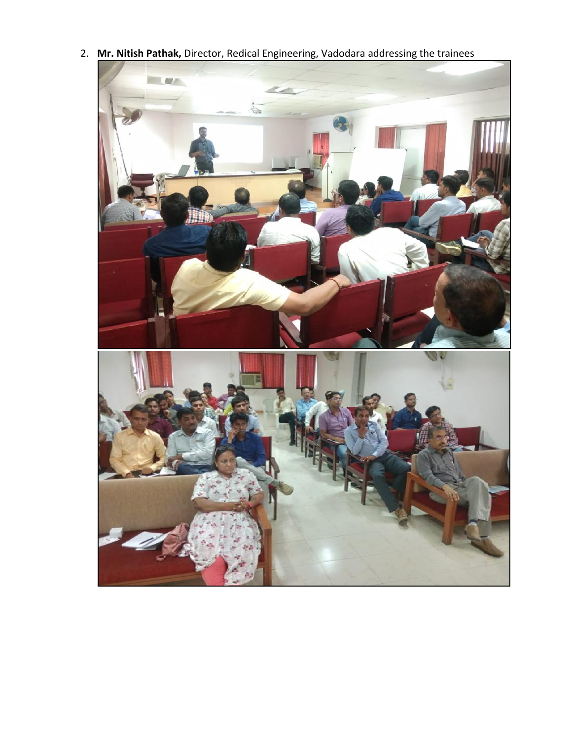2. **Mr. Nitish Pathak,** Director, Redical Engineering, Vadodara addressing the trainees